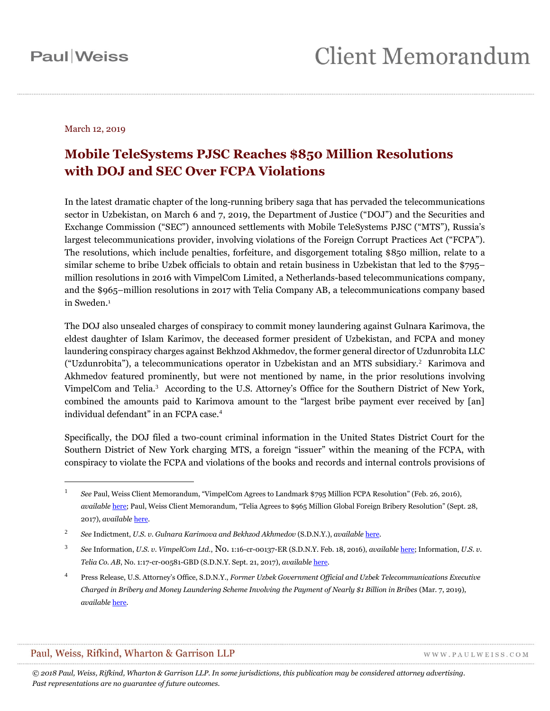#### March 12, 2019

## **Mobile TeleSystems PJSC Reaches \$850 Million Resolutions with DOJ and SEC Over FCPA Violations**

In the latest dramatic chapter of the long-running bribery saga that has pervaded the telecommunications sector in Uzbekistan, on March 6 and 7, 2019, the Department of Justice ("DOJ") and the Securities and Exchange Commission ("SEC") announced settlements with Mobile TeleSystems PJSC ("MTS"), Russia's largest telecommunications provider, involving violations of the Foreign Corrupt Practices Act ("FCPA"). The resolutions, which include penalties, forfeiture, and disgorgement totaling \$850 million, relate to a similar scheme to bribe Uzbek officials to obtain and retain business in Uzbekistan that led to the \$795– million resolutions in 2016 with VimpelCom Limited, a Netherlands-based telecommunications company, and the \$965–million resolutions in 2017 with Telia Company AB, a telecommunications company based in Sweden. 1

The DOJ also unsealed charges of conspiracy to commit money laundering against Gulnara Karimova, the eldest daughter of Islam Karimov, the deceased former president of Uzbekistan, and FCPA and money laundering conspiracy charges against Bekhzod Akhmedov, the former general director of Uzdunrobita LLC ("Uzdunrobita"), a telecommunications operator in Uzbekistan and an MTS subsidiary.<sup>2</sup> Karimova and Akhmedov featured prominently, but were not mentioned by name, in the prior resolutions involving VimpelCom and Telia.<sup>3</sup> According to the U.S. Attorney's Office for the Southern District of New York, combined the amounts paid to Karimova amount to the "largest bribe payment ever received by [an] individual defendant" in an FCPA case.<sup>4</sup>

Specifically, the DOJ filed a two-count criminal information in the United States District Court for the Southern District of New York charging MTS, a foreign "issuer" within the meaning of the FCPA, with conspiracy to violate the FCPA and violations of the books and records and internal controls provisions of

#### Paul, Weiss, Rifkind, Wharton & Garrison LLP

 $\overline{a}$ 

WWW.PAULWEISS.COM

<sup>1</sup> *See* Paul, Weiss Client Memorandum, "VimpelCom Agrees to Landmark \$795 Million FCPA Resolution" (Feb. 26, 2016), *available* [here;](https://www.paulweiss.com/practices/litigation/anti-corruption-fcpa/publications/vimpelcom-agrees-to-landmark-795-million-fcpa-resolution?id=21531) Paul, Weiss Client Memorandum, "Telia Agrees to \$965 Million Global Foreign Bribery Resolution" (Sept. 28, 2017), *available* [here.](https://www.paulweiss.com/practices/litigation/anti-corruption-fcpa/publications/telia-agrees-to-965-million-global-foreign-bribery-resolution?id=25291)

<sup>2</sup> *See* Indictment, *U.S. v. Gulnara Karimova and Bekhzod Akhmedov* (S.D.N.Y.), *available* [here.](https://www.justice.gov/opa/press-release/file/1141641/download) 

<sup>3</sup> *See* Information, *U.S. v. VimpelCom Ltd.*, No. 1:16-cr-00137-ER (S.D.N.Y. Feb. 18, 2016), *available* [here;](https://www.justice.gov/criminal-fraud/file/827486/download) Information, *U.S. v. Telia Co. AB*, No. 1:17-cr-00581-GBD (S.D.N.Y. Sept. 21, 2017), *available* [here.](https://www.justice.gov/criminal-fraud/file/1009321/download)

<sup>4</sup> Press Release, U.S. Attorney's Office, S.D.N.Y., *Former Uzbek Government Official and Uzbek Telecommunications Executive Charged in Bribery and Money Laundering Scheme Involving the Payment of Nearly \$1 Billion in Bribes* (Mar. 7, 2019), *available* [here.](https://www.justice.gov/usao-sdny/pr/former-uzbek-government-official-and-uzbek-telecommunications-executive-charged-bribery)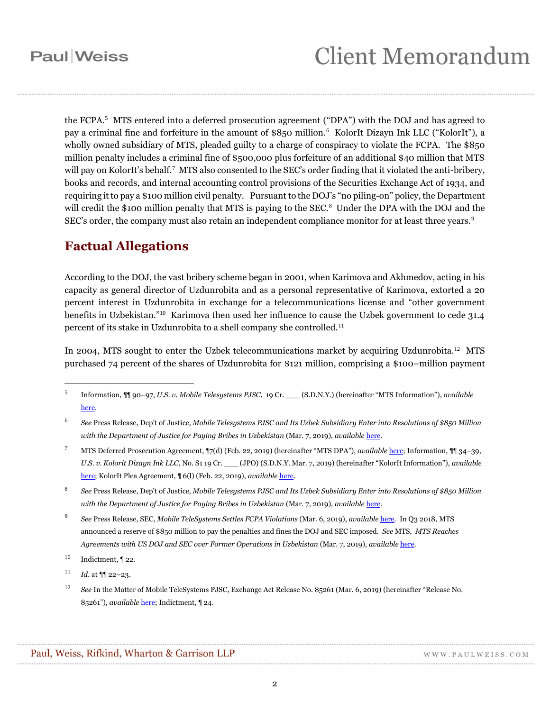the FCPA.<sup>5</sup> MTS entered into a deferred prosecution agreement ("DPA") with the DOJ and has agreed to pay a criminal fine and forfeiture in the amount of \$850 million.<sup>6</sup> KolorIt Dizayn Ink LLC ("KolorIt"), a wholly owned subsidiary of MTS, pleaded guilty to a charge of conspiracy to violate the FCPA. The \$850 million penalty includes a criminal fine of \$500,000 plus forfeiture of an additional \$40 million that MTS will pay on KolorIt's behalf.<sup>7</sup> MTS also consented to the SEC's order finding that it violated the anti-bribery, books and records, and internal accounting control provisions of the Securities Exchange Act of 1934, and requiring it to pay a \$100 million civil penalty. Pursuant to the DOJ's "no piling-on" policy, the Department will credit the \$100 million penalty that MTS is paying to the SEC.<sup>8</sup> Under the DPA with the DOJ and the SEC's order, the company must also retain an independent compliance monitor for at least three years.<sup>9</sup>

### **Factual Allegations**

According to the DOJ, the vast bribery scheme began in 2001, when Karimova and Akhmedov, acting in his capacity as general director of Uzdunrobita and as a personal representative of Karimova, extorted a 20 percent interest in Uzdunrobita in exchange for a telecommunications license and "other government benefits in Uzbekistan."<sup>10</sup> Karimova then used her influence to cause the Uzbek government to cede 31.4 percent of its stake in Uzdunrobita to a shell company she controlled.<sup>11</sup>

In 2004, MTS sought to enter the Uzbek telecommunications market by acquiring Uzdunrobita.<sup>12</sup> MTS purchased 74 percent of the shares of Uzdunrobita for \$121 million, comprising a \$100–million payment

- <sup>7</sup> MTS Deferred Prosecution Agreement, ¶7(d) (Feb. 22, 2019) (hereinafter "MTS DPA"), *available* [here;](https://www.justice.gov/opa/press-release/file/1141631/download) Information, ¶¶ 34–39, *U.S. v. Kolorit Dizayn Ink LLC*, No. S1 19 Cr. \_\_\_ (JPO) (S.D.N.Y. Mar. 7, 2019) (hereinafter "KolorIt Information"), *available*  [here;](https://www.justice.gov/opa/press-release/file/1141616/download) KolorIt Plea Agreement, ¶ 6(l) (Feb. 22, 2019), *available* [here.](https://www.justice.gov/opa/press-release/file/1141621/download)
- 8 *See* Press Release, Dep't of Justice, *Mobile Telesystems PJSC and Its Uzbek Subsidiary Enter into Resolutions of \$850 Million with the Department of Justice for Paying Bribes in Uzbekistan* (Mar. 7, 2019), *available* [here.](https://www.justice.gov/opa/pr/mobile-telesystems-pjsc-and-its-uzbek-subsidiary-enter-resolutions-850-million-department)
- 9 *See* Press Release, SEC, *Mobile TeleSystems Settles FCPA Violations* (Mar. 6, 2019), *available* [here.](https://www.sec.gov/news/press-release/2019-27) In Q3 2018, MTS announced a reserve of \$850 million to pay the penalties and fines the DOJ and SEC imposed. *See* MTS, *MTS Reaches Agreements with US DOJ and SEC over Former Operations in Uzbekistan* (Mar. 7, 2019), *available* [here.](http://ir.mts.ru/news-and-events/news/news-details/2019/MTS-Reaches-Agreements-with-US-DOJ-and-SEC-over-Former-Operations-in-Uzbekistan/default.aspx)
- $10$  Indictment, 122.

- $11$  *Id.* at  $\P$  22–23.
- <sup>12</sup> *See* In the Matter of Mobile TeleSystems PJSC, Exchange Act Release No. 85261 (Mar. 6, 2019) (hereinafter "Release No. 85261"), *available* [here;](https://www.sec.gov/litigation/admin/2019/34-85261.pdf) Indictment, ¶ 24.

<sup>5</sup> Information, ¶¶ 90–97, *U.S. v. Mobile Telesystems PJSC*, 19 Cr. \_\_\_ (S.D.N.Y.) (hereinafter "MTS Information"), *available*  [here.](https://www.justice.gov/opa/press-release/file/1141636/download)

<sup>6</sup> *See* Press Release, Dep't of Justice, *Mobile Telesystems PJSC and Its Uzbek Subsidiary Enter into Resolutions of \$850 Million with the Department of Justice for Paying Bribes in Uzbekistan* (Mar. 7, 2019), *available* [here.](https://www.justice.gov/opa/pr/mobile-telesystems-pjsc-and-its-uzbek-subsidiary-enter-resolutions-850-million-department)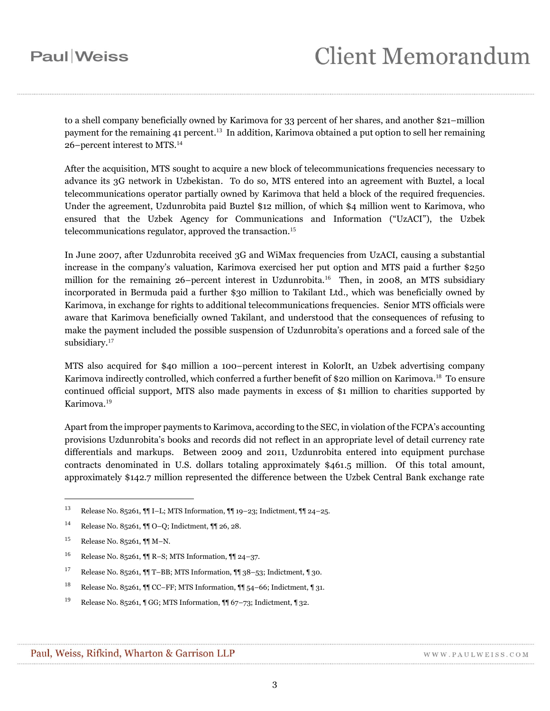to a shell company beneficially owned by Karimova for 33 percent of her shares, and another \$21–million payment for the remaining 41 percent.<sup>13</sup> In addition, Karimova obtained a put option to sell her remaining 26–percent interest to MTS.<sup>14</sup>

After the acquisition, MTS sought to acquire a new block of telecommunications frequencies necessary to advance its 3G network in Uzbekistan. To do so, MTS entered into an agreement with Buztel, a local telecommunications operator partially owned by Karimova that held a block of the required frequencies. Under the agreement, Uzdunrobita paid Buztel \$12 million, of which \$4 million went to Karimova, who ensured that the Uzbek Agency for Communications and Information ("UzACI"), the Uzbek telecommunications regulator, approved the transaction.<sup>15</sup>

In June 2007, after Uzdunrobita received 3G and WiMax frequencies from UzACI, causing a substantial increase in the company's valuation, Karimova exercised her put option and MTS paid a further \$250 million for the remaining 26–percent interest in Uzdunrobita.<sup>16</sup> Then, in 2008, an MTS subsidiary incorporated in Bermuda paid a further \$30 million to Takilant Ltd., which was beneficially owned by Karimova, in exchange for rights to additional telecommunications frequencies. Senior MTS officials were aware that Karimova beneficially owned Takilant, and understood that the consequences of refusing to make the payment included the possible suspension of Uzdunrobita's operations and a forced sale of the subsidiary.<sup>17</sup>

MTS also acquired for \$40 million a 100–percent interest in KolorIt, an Uzbek advertising company Karimova indirectly controlled, which conferred a further benefit of \$20 million on Karimova. 18 To ensure continued official support, MTS also made payments in excess of \$1 million to charities supported by Karimova. 19

Apart from the improper payments to Karimova, according to the SEC, in violation of the FCPA's accounting provisions Uzdunrobita's books and records did not reflect in an appropriate level of detail currency rate differentials and markups. Between 2009 and 2011, Uzdunrobita entered into equipment purchase contracts denominated in U.S. dollars totaling approximately \$461.5 million. Of this total amount, approximately \$142.7 million represented the difference between the Uzbek Central Bank exchange rate

<sup>13</sup> Release No. 85261, ¶¶ I–L; MTS Information, ¶¶ 19–23; Indictment, ¶¶ 24–25.

<sup>14</sup> Release No. 85261, ¶¶ O–Q; Indictment, ¶¶ 26, 28.

<sup>15</sup> Release No. 85261, ¶¶ M–N.

<sup>16</sup> Release No. 85261, ¶¶ R–S; MTS Information, ¶¶ 24–37.

<sup>17</sup> Release No. 85261, ¶¶ T–BB; MTS Information, ¶¶ 38–53; Indictment, ¶ 30.

<sup>18</sup> Release No. 85261, ¶¶ CC–FF; MTS Information, ¶¶ 54–66; Indictment, ¶ 31.

<sup>&</sup>lt;sup>19</sup> Release No. 85261, ¶ GG; MTS Information, ¶¶ 67-73; Indictment, ¶ 32.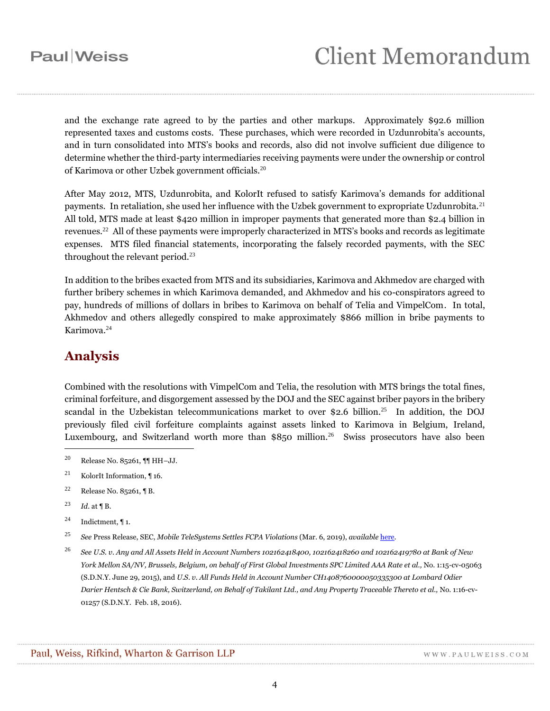and the exchange rate agreed to by the parties and other markups. Approximately \$92.6 million represented taxes and customs costs. These purchases, which were recorded in Uzdunrobita's accounts, and in turn consolidated into MTS's books and records, also did not involve sufficient due diligence to determine whether the third-party intermediaries receiving payments were under the ownership or control of Karimova or other Uzbek government officials.<sup>20</sup>

After May 2012, MTS, Uzdunrobita, and KolorIt refused to satisfy Karimova's demands for additional payments. In retaliation, she used her influence with the Uzbek government to expropriate Uzdunrobita.<sup>21</sup> All told, MTS made at least \$420 million in improper payments that generated more than \$2.4 billion in revenues.<sup>22</sup> All of these payments were improperly characterized in MTS's books and records as legitimate expenses. MTS filed financial statements, incorporating the falsely recorded payments, with the SEC throughout the relevant period. $^{23}$ 

In addition to the bribes exacted from MTS and its subsidiaries, Karimova and Akhmedov are charged with further bribery schemes in which Karimova demanded, and Akhmedov and his co-conspirators agreed to pay, hundreds of millions of dollars in bribes to Karimova on behalf of Telia and VimpelCom. In total, Akhmedov and others allegedly conspired to make approximately \$866 million in bribe payments to Karimova.<sup>24</sup>

### **Analysis**

Combined with the resolutions with VimpelCom and Telia, the resolution with MTS brings the total fines, criminal forfeiture, and disgorgement assessed by the DOJ and the SEC against briber payors in the bribery scandal in the Uzbekistan telecommunications market to over \$2.6 billion.<sup>25</sup> In addition, the DOJ previously filed civil forfeiture complaints against assets linked to Karimova in Belgium, Ireland, Luxembourg, and Switzerland worth more than  $$850$  million.<sup>26</sup> Swiss prosecutors have also been

- <sup>22</sup> Release No. 85261, **1** B.
- <sup>23</sup> *Id.* at ¶ B.

- <sup>24</sup> Indictment, ¶ 1.
- <sup>25</sup> *See* Press Release, SEC, *Mobile TeleSystems Settles FCPA Violations* (Mar. 6, 2019), *available* [here.](https://www.sec.gov/news/press-release/2019-27)
- <sup>26</sup> *See U.S. v. Any and All Assets Held in Account Numbers 102162418400, 102162418260 and 102162419780 at Bank of New York Mellon SA/NV, Brussels, Belgium, on behalf of First Global Investments SPC Limited AAA Rate et al.,* No. 1:15-cv-05063 (S.D.N.Y. June 29, 2015), and *U.S. v. All Funds Held in Account Number CH1408760000050335300 at Lombard Odier Darier Hentsch & Cie Bank, Switzerland, on Behalf of Takilant Ltd., and Any Property Traceable Thereto et al.,* No. 1:16-cv-01257 (S.D.N.Y. Feb. 18, 2016).

<sup>20</sup> Release No. 85261, ¶¶ HH–JJ.

<sup>21</sup> KolorIt Information, ¶ 16.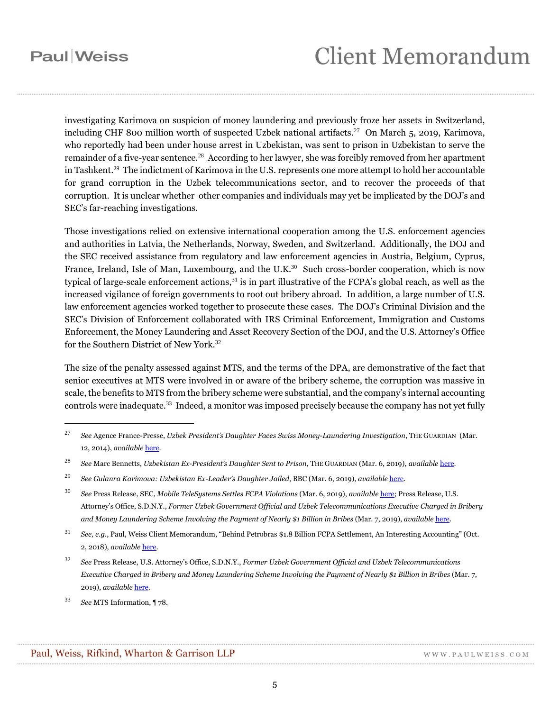# **Client Memorandum**

investigating Karimova on suspicion of money laundering and previously froze her assets in Switzerland, including CHF 800 million worth of suspected Uzbek national artifacts.<sup>27</sup> On March 5, 2019, Karimova, who reportedly had been under house arrest in Uzbekistan, was sent to prison in Uzbekistan to serve the remainder of a five-year sentence.<sup>28</sup> According to her lawyer, she was forcibly removed from her apartment in Tashkent.<sup>29</sup> The indictment of Karimova in the U.S. represents one more attempt to hold her accountable for grand corruption in the Uzbek telecommunications sector, and to recover the proceeds of that corruption. It is unclear whether other companies and individuals may yet be implicated by the DOJ's and SEC's far-reaching investigations.

Those investigations relied on extensive international cooperation among the U.S. enforcement agencies and authorities in Latvia, the Netherlands, Norway, Sweden, and Switzerland. Additionally, the DOJ and the SEC received assistance from regulatory and law enforcement agencies in Austria, Belgium, Cyprus, France, Ireland, Isle of Man, Luxembourg, and the U.K. $30$  Such cross-border cooperation, which is now typical of large-scale enforcement actions,<sup>31</sup> is in part illustrative of the FCPA's global reach, as well as the increased vigilance of foreign governments to root out bribery abroad. In addition, a large number of U.S. law enforcement agencies worked together to prosecute these cases. The DOJ's Criminal Division and the SEC's Division of Enforcement collaborated with IRS Criminal Enforcement, Immigration and Customs Enforcement, the Money Laundering and Asset Recovery Section of the DOJ, and the U.S. Attorney's Office for the Southern District of New York. 32

The size of the penalty assessed against MTS, and the terms of the DPA, are demonstrative of the fact that senior executives at MTS were involved in or aware of the bribery scheme, the corruption was massive in scale, the benefits to MTS from the bribery scheme were substantial, and the company's internal accounting controls were inadequate.<sup>33</sup> Indeed, a monitor was imposed precisely because the company has not yet fully

<sup>33</sup> *See* MTS Information, ¶ 78.

<sup>27</sup> *See* Agence France-Presse, *Uzbek President's Daughter Faces Swiss Money-Laundering Investigation*, THE GUARDIAN (Mar. 12, 2014), *available* [here.](https://www.theguardian.com/world/2014/mar/12/uzbek-president-daughter-money-laundering-investigation-switzerland)

<sup>28</sup> *See* Marc Bennetts, *Uzbekistan Ex-President's Daughter Sent to Prison*, THE GUARDIAN (Mar. 6, 2019), *available* [here.](https://www.theguardian.com/world/2019/mar/06/uzbekistan-ex-president-daughter-prison-gulnara-islam-karimova)

<sup>29</sup> *See Gulanra Karimova: Uzbekistan Ex-Leader's Daughter Jailed*, BBC (Mar. 6, 2019), *available* [here.](https://www.bbc.com/news/world-asia-47468741)

<sup>30</sup> *See* Press Release, SEC, *Mobile TeleSystems Settles FCPA Violations* (Mar. 6, 2019), *available* [here;](https://www.sec.gov/news/press-release/2019-27) Press Release, U.S. Attorney's Office, S.D.N.Y., *Former Uzbek Government Official and Uzbek Telecommunications Executive Charged in Bribery and Money Laundering Scheme Involving the Payment of Nearly \$1 Billion in Bribes* (Mar. 7, 2019), *available* [here.](https://www.justice.gov/usao-sdny/pr/former-uzbek-government-official-and-uzbek-telecommunications-executive-charged-bribery)

<sup>31</sup> *See, e.g.*, Paul, Weiss Client Memorandum, "Behind Petrobras \$1.8 Billion FCPA Settlement, An Interesting Accounting" (Oct. 2, 2018), *available* [here.](https://www.paulweiss.com/practices/litigation/anti-corruption-fcpa/publications/behind-petrobras-18-billion-fcpa-settlement-an-interesting-accounting?id=27511)

<sup>32</sup> *See* Press Release, U.S. Attorney's Office, S.D.N.Y., *Former Uzbek Government Official and Uzbek Telecommunications Executive Charged in Bribery and Money Laundering Scheme Involving the Payment of Nearly \$1 Billion in Bribes* (Mar. 7, 2019), *available* [here.](https://www.justice.gov/usao-sdny/pr/former-uzbek-government-official-and-uzbek-telecommunications-executive-charged-bribery)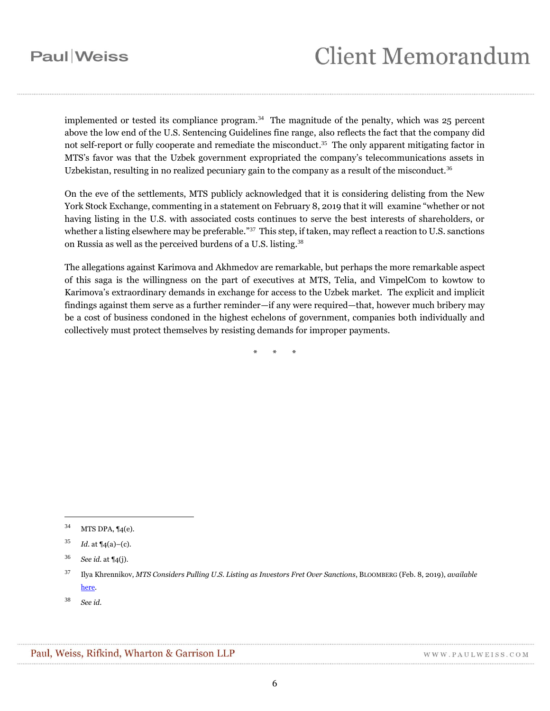implemented or tested its compliance program.<sup>34</sup> The magnitude of the penalty, which was 25 percent above the low end of the U.S. Sentencing Guidelines fine range, also reflects the fact that the company did not self-report or fully cooperate and remediate the misconduct.<sup>35</sup> The only apparent mitigating factor in MTS's favor was that the Uzbek government expropriated the company's telecommunications assets in Uzbekistan, resulting in no realized pecuniary gain to the company as a result of the misconduct.<sup>36</sup>

On the eve of the settlements, MTS publicly acknowledged that it is considering delisting from the New York Stock Exchange, commenting in a statement on February 8, 2019 that it will examine "whether or not having listing in the U.S. with associated costs continues to serve the best interests of shareholders, or whether a listing elsewhere may be preferable."<sup>37</sup> This step, if taken, may reflect a reaction to U.S. sanctions on Russia as well as the perceived burdens of a U.S. listing.<sup>38</sup>

The allegations against Karimova and Akhmedov are remarkable, but perhaps the more remarkable aspect of this saga is the willingness on the part of executives at MTS, Telia, and VimpelCom to kowtow to Karimova's extraordinary demands in exchange for access to the Uzbek market. The explicit and implicit findings against them serve as a further reminder—if any were required—that, however much bribery may be a cost of business condoned in the highest echelons of government, companies both individually and collectively must protect themselves by resisting demands for improper payments.

\* \* \*

<sup>34</sup> MTS DPA, ¶4(e).

<sup>35</sup> *Id.* at ¶4(a)–(c).

<sup>36</sup> *See id.* at ¶4(j).

<sup>37</sup> Ilya Khrennikov, *MTS Considers Pulling U.S. Listing as Investors Fret Over Sanctions*, BLOOMBERG (Feb. 8, 2019), *available*  [here.](https://www.bloomberg.com/news/articles/2019-02-08/mts-mulls-pulling-u-s-listing-as-investors-fret-over-sanctions)

<sup>38</sup> *See id*.